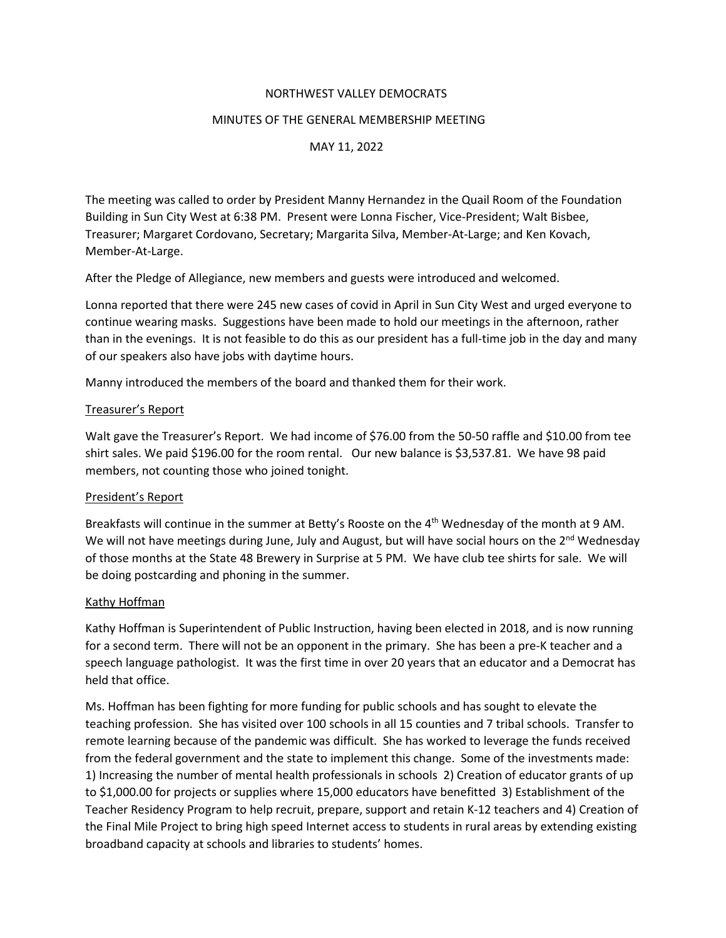## NORTHWEST VALLEY DEMOCRATS

#### MINUTES OF THE GENERAL MEMBERSHIP MEETING

## MAY 11, 2022

The meeting was called to order by President Manny Hernandez in the Quail Room of the Foundation Building in Sun City West at 6:38 PM. Present were Lonna Fischer, Vice-President; Walt Bisbee, Treasurer; Margaret Cordovano, Secretary; Margarita Silva, Member-At-Large; and Ken Kovach, Member-At-Large.

After the Pledge of Allegiance, new members and guests were introduced and welcomed.

Lonna reported that there were 245 new cases of covid in April in Sun City West and urged everyone to continue wearing masks. Suggestions have been made to hold our meetings in the afternoon, rather than in the evenings. It is not feasible to do this as our president has a full-time job in the day and many of our speakers also have jobs with daytime hours.

Manny introduced the members of the board and thanked them for their work.

## Treasurer's Report

Walt gave the Treasurer's Report. We had income of \$76.00 from the 50-50 raffle and \$10.00 from tee shirt sales. We paid \$196.00 for the room rental. Our new balance is \$3,537.81. We have 98 paid members, not counting those who joined tonight.

#### President's Report

Breakfasts will continue in the summer at Betty's Rooste on the 4<sup>th</sup> Wednesday of the month at 9 AM. We will not have meetings during June, July and August, but will have social hours on the 2<sup>nd</sup> Wednesday of those months at the State 48 Brewery in Surprise at 5 PM. We have club tee shirts for sale. We will be doing postcarding and phoning in the summer.

#### Kathy Hoffman

Kathy Hoffman is Superintendent of Public Instruction, having been elected in 2018, and is now running for a second term. There will not be an opponent in the primary. She has been a pre-K teacher and a speech language pathologist. It was the first time in over 20 years that an educator and a Democrat has held that office.

Ms. Hoffman has been fighting for more funding for public schools and has sought to elevate the teaching profession. She has visited over 100 schools in all 15 counties and 7 tribal schools. Transfer to remote learning because of the pandemic was difficult. She has worked to leverage the funds received from the federal government and the state to implement this change. Some of the investments made: 1) Increasing the number of mental health professionals in schools 2) Creation of educator grants of up to \$1,000.00 for projects or supplies where 15,000 educators have benefitted 3) Establishment of the Teacher Residency Program to help recruit, prepare, support and retain K-12 teachers and 4) Creation of the Final Mile Project to bring high speed Internet access to students in rural areas by extending existing broadband capacity at schools and libraries to students' homes.